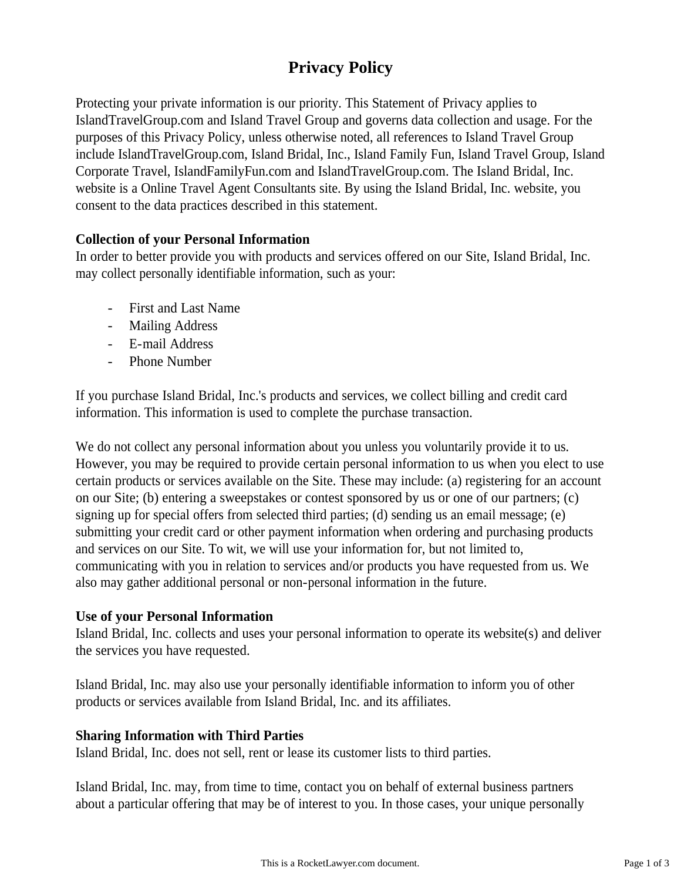# **Privacy Policy**

Protecting your private information is our priority. This Statement of Privacy applies to IslandTravelGroup.com and Island Travel Group and governs data collection and usage. For the purposes of this Privacy Policy, unless otherwise noted, all references to Island Travel Group include IslandTravelGroup.com, Island Bridal, Inc., Island Family Fun, Island Travel Group, Island Corporate Travel, IslandFamilyFun.com and IslandTravelGroup.com. The Island Bridal, Inc. website is a Online Travel Agent Consultants site. By using the Island Bridal, Inc. website, you consent to the data practices described in this statement.

## **Collection of your Personal Information**

In order to better provide you with products and services offered on our Site, Island Bridal, Inc. may collect personally identifiable information, such as your:

- First and Last Name
- Mailing Address
- E-mail Address
- Phone Number

If you purchase Island Bridal, Inc.'s products and services, we collect billing and credit card information. This information is used to complete the purchase transaction.

We do not collect any personal information about you unless you voluntarily provide it to us. However, you may be required to provide certain personal information to us when you elect to use certain products or services available on the Site. These may include: (a) registering for an account on our Site; (b) entering a sweepstakes or contest sponsored by us or one of our partners; (c) signing up for special offers from selected third parties; (d) sending us an email message; (e) submitting your credit card or other payment information when ordering and purchasing products and services on our Site. To wit, we will use your information for, but not limited to, communicating with you in relation to services and/or products you have requested from us. We also may gather additional personal or non-personal information in the future.

### **Use of your Personal Information**

Island Bridal, Inc. collects and uses your personal information to operate its website(s) and deliver the services you have requested.

Island Bridal, Inc. may also use your personally identifiable information to inform you of other products or services available from Island Bridal, Inc. and its affiliates.

### **Sharing Information with Third Parties**

Island Bridal, Inc. does not sell, rent or lease its customer lists to third parties.

Island Bridal, Inc. may, from time to time, contact you on behalf of external business partners about a particular offering that may be of interest to you. In those cases, your unique personally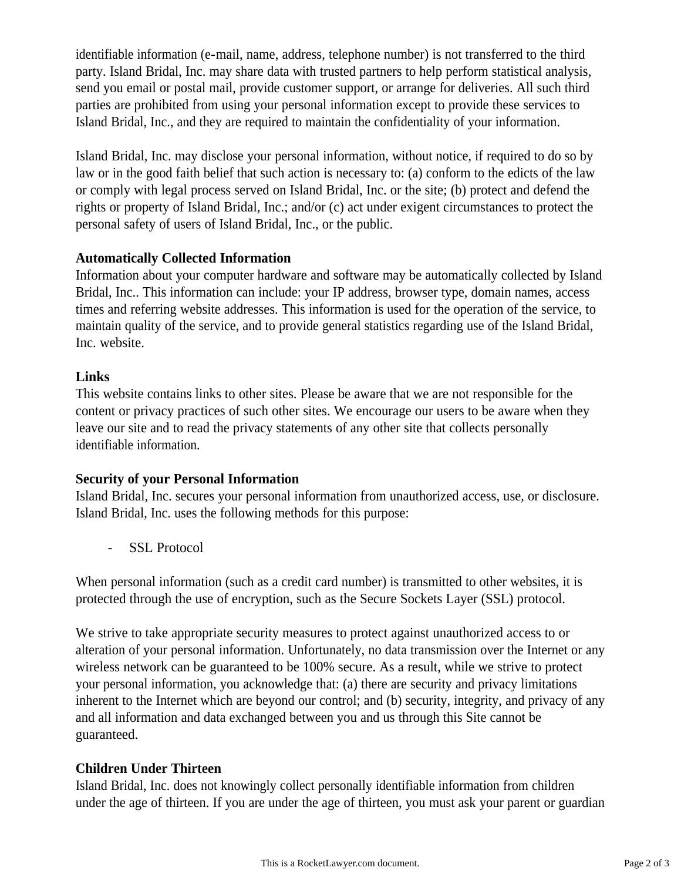identifiable information (e-mail, name, address, telephone number) is not transferred to the third party. Island Bridal, Inc. may share data with trusted partners to help perform statistical analysis, send you email or postal mail, provide customer support, or arrange for deliveries. All such third parties are prohibited from using your personal information except to provide these services to Island Bridal, Inc., and they are required to maintain the confidentiality of your information.

Island Bridal, Inc. may disclose your personal information, without notice, if required to do so by law or in the good faith belief that such action is necessary to: (a) conform to the edicts of the law or comply with legal process served on Island Bridal, Inc. or the site; (b) protect and defend the rights or property of Island Bridal, Inc.; and/or (c) act under exigent circumstances to protect the personal safety of users of Island Bridal, Inc., or the public.

## **Automatically Collected Information**

Information about your computer hardware and software may be automatically collected by Island Bridal, Inc.. This information can include: your IP address, browser type, domain names, access times and referring website addresses. This information is used for the operation of the service, to maintain quality of the service, and to provide general statistics regarding use of the Island Bridal, Inc. website.

## **Links**

This website contains links to other sites. Please be aware that we are not responsible for the content or privacy practices of such other sites. We encourage our users to be aware when they leave our site and to read the privacy statements of any other site that collects personally identifiable information.

# **Security of your Personal Information**

Island Bridal, Inc. secures your personal information from unauthorized access, use, or disclosure. Island Bridal, Inc. uses the following methods for this purpose:

- SSL Protocol

When personal information (such as a credit card number) is transmitted to other websites, it is protected through the use of encryption, such as the Secure Sockets Layer (SSL) protocol.

We strive to take appropriate security measures to protect against unauthorized access to or alteration of your personal information. Unfortunately, no data transmission over the Internet or any wireless network can be guaranteed to be 100% secure. As a result, while we strive to protect your personal information, you acknowledge that: (a) there are security and privacy limitations inherent to the Internet which are beyond our control; and (b) security, integrity, and privacy of any and all information and data exchanged between you and us through this Site cannot be guaranteed.

# **Children Under Thirteen**

Island Bridal, Inc. does not knowingly collect personally identifiable information from children under the age of thirteen. If you are under the age of thirteen, you must ask your parent or guardian